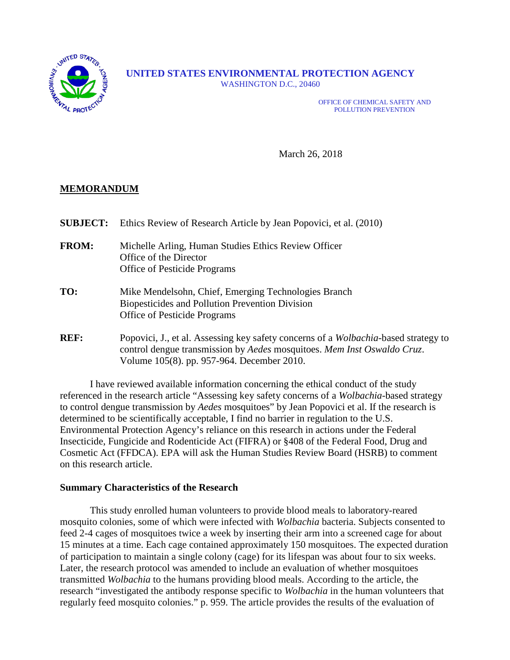

**UNITED STATES ENVIRONMENTAL PROTECTION AGENCY** WASHINGTON D.C., 20460

> OFFICE OF CHEMICAL SAFETY AND POLLUTION PREVENTION

March 26, 2018

# **MEMORANDUM**

| <b>SUBJECT:</b> | Ethics Review of Research Article by Jean Popovici, et al. (2010)                                                                                                                                                   |
|-----------------|---------------------------------------------------------------------------------------------------------------------------------------------------------------------------------------------------------------------|
| <b>FROM:</b>    | Michelle Arling, Human Studies Ethics Review Officer<br>Office of the Director<br><b>Office of Pesticide Programs</b>                                                                                               |
| TO:             | Mike Mendelsohn, Chief, Emerging Technologies Branch<br><b>Biopesticides and Pollution Prevention Division</b><br><b>Office of Pesticide Programs</b>                                                               |
| <b>REF:</b>     | Popovici, J., et al. Assessing key safety concerns of a <i>Wolbachia-based</i> strategy to<br>control dengue transmission by Aedes mosquitoes. Mem Inst Oswaldo Cruz.<br>Volume 105(8). pp. 957-964. December 2010. |

I have reviewed available information concerning the ethical conduct of the study referenced in the research article "Assessing key safety concerns of a *Wolbachia-*based strategy to control dengue transmission by *Aedes* mosquitoes" by Jean Popovici et al. If the research is determined to be scientifically acceptable, I find no barrier in regulation to the U.S. Environmental Protection Agency's reliance on this research in actions under the Federal Insecticide, Fungicide and Rodenticide Act (FIFRA) or §408 of the Federal Food, Drug and Cosmetic Act (FFDCA). EPA will ask the Human Studies Review Board (HSRB) to comment on this research article.

#### **Summary Characteristics of the Research**

This study enrolled human volunteers to provide blood meals to laboratory-reared mosquito colonies, some of which were infected with *Wolbachia* bacteria. Subjects consented to feed 2-4 cages of mosquitoes twice a week by inserting their arm into a screened cage for about 15 minutes at a time. Each cage contained approximately 150 mosquitoes. The expected duration of participation to maintain a single colony (cage) for its lifespan was about four to six weeks. Later, the research protocol was amended to include an evaluation of whether mosquitoes transmitted *Wolbachia* to the humans providing blood meals. According to the article, the research "investigated the antibody response specific to *Wolbachia* in the human volunteers that regularly feed mosquito colonies." p. 959. The article provides the results of the evaluation of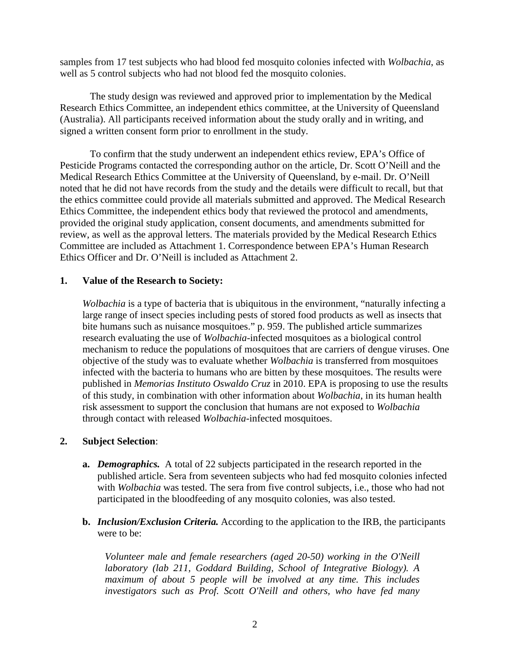samples from 17 test subjects who had blood fed mosquito colonies infected with *Wolbachia*, as well as 5 control subjects who had not blood fed the mosquito colonies.

The study design was reviewed and approved prior to implementation by the Medical Research Ethics Committee, an independent ethics committee, at the University of Queensland (Australia). All participants received information about the study orally and in writing, and signed a written consent form prior to enrollment in the study.

To confirm that the study underwent an independent ethics review, EPA's Office of Pesticide Programs contacted the corresponding author on the article, Dr. Scott O'Neill and the Medical Research Ethics Committee at the University of Queensland, by e-mail. Dr. O'Neill noted that he did not have records from the study and the details were difficult to recall, but that the ethics committee could provide all materials submitted and approved. The Medical Research Ethics Committee, the independent ethics body that reviewed the protocol and amendments, provided the original study application, consent documents, and amendments submitted for review, as well as the approval letters. The materials provided by the Medical Research Ethics Committee are included as Attachment 1. Correspondence between EPA's Human Research Ethics Officer and Dr. O'Neill is included as Attachment 2.

### **1. Value of the Research to Society:**

*Wolbachia* is a type of bacteria that is ubiquitous in the environment, "naturally infecting a large range of insect species including pests of stored food products as well as insects that bite humans such as nuisance mosquitoes." p. 959. The published article summarizes research evaluating the use of *Wolbachia-*infected mosquitoes as a biological control mechanism to reduce the populations of mosquitoes that are carriers of dengue viruses. One objective of the study was to evaluate whether *Wolbachia* is transferred from mosquitoes infected with the bacteria to humans who are bitten by these mosquitoes. The results were published in *Memorias Instituto Oswaldo Cruz* in 2010. EPA is proposing to use the results of this study, in combination with other information about *Wolbachia*, in its human health risk assessment to support the conclusion that humans are not exposed to *Wolbachia* through contact with released *Wolbachia*-infected mosquitoes.

# **2. Subject Selection**:

- **a.** *Demographics.* A total of 22 subjects participated in the research reported in the published article. Sera from seventeen subjects who had fed mosquito colonies infected with *Wolbachia* was tested. The sera from five control subjects, i.e., those who had not participated in the bloodfeeding of any mosquito colonies, was also tested.
- **b.** *Inclusion/Exclusion Criteria.* According to the application to the IRB, the participants were to be:

*Volunteer male and female researchers (aged 20-50) working in the O'Neill laboratory (lab 211, Goddard Building, School of Integrative Biology). A maximum of about 5 people will be involved at any time. This includes investigators such as Prof. Scott O'Neill and others, who have fed many*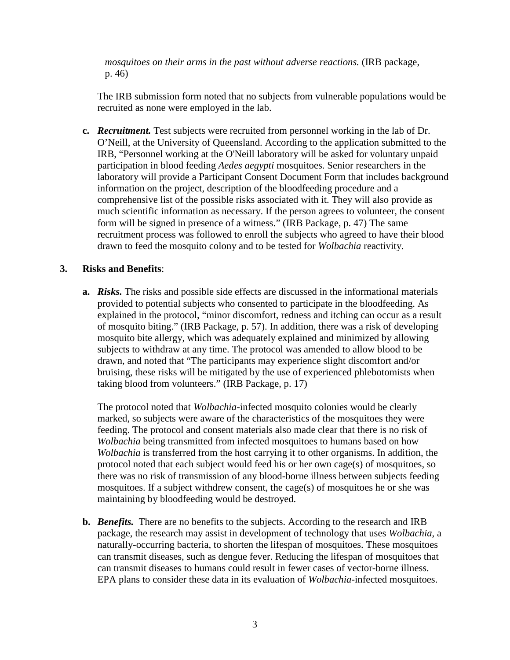*mosquitoes on their arms in the past without adverse reactions.* (IRB package, p. 46)

The IRB submission form noted that no subjects from vulnerable populations would be recruited as none were employed in the lab.

**c.** *Recruitment.* Test subjects were recruited from personnel working in the lab of Dr. O'Neill, at the University of Queensland. According to the application submitted to the IRB, "Personnel working at the O'Neill laboratory will be asked for voluntary unpaid participation in blood feeding *Aedes aegypti* mosquitoes. Senior researchers in the laboratory will provide a Participant Consent Document Form that includes background information on the project, description of the bloodfeeding procedure and a comprehensive list of the possible risks associated with it. They will also provide as much scientific information as necessary. If the person agrees to volunteer, the consent form will be signed in presence of a witness." (IRB Package, p. 47) The same recruitment process was followed to enroll the subjects who agreed to have their blood drawn to feed the mosquito colony and to be tested for *Wolbachia* reactivity.

# **3. Risks and Benefits**:

**a.** *Risks.* The risks and possible side effects are discussed in the informational materials provided to potential subjects who consented to participate in the bloodfeeding. As explained in the protocol, "minor discomfort, redness and itching can occur as a result of mosquito biting." (IRB Package, p. 57). In addition, there was a risk of developing mosquito bite allergy, which was adequately explained and minimized by allowing subjects to withdraw at any time. The protocol was amended to allow blood to be drawn, and noted that "The participants may experience slight discomfort and/or bruising, these risks will be mitigated by the use of experienced phlebotomists when taking blood from volunteers." (IRB Package, p. 17)

The protocol noted that *Wolbachia*-infected mosquito colonies would be clearly marked, so subjects were aware of the characteristics of the mosquitoes they were feeding. The protocol and consent materials also made clear that there is no risk of *Wolbachia* being transmitted from infected mosquitoes to humans based on how *Wolbachia* is transferred from the host carrying it to other organisms. In addition, the protocol noted that each subject would feed his or her own cage(s) of mosquitoes, so there was no risk of transmission of any blood-borne illness between subjects feeding mosquitoes. If a subject withdrew consent, the cage(s) of mosquitoes he or she was maintaining by bloodfeeding would be destroyed.

**b.** *Benefits.* There are no benefits to the subjects. According to the research and IRB package, the research may assist in development of technology that uses *Wolbachia*, a naturally-occurring bacteria, to shorten the lifespan of mosquitoes. These mosquitoes can transmit diseases, such as dengue fever. Reducing the lifespan of mosquitoes that can transmit diseases to humans could result in fewer cases of vector-borne illness. EPA plans to consider these data in its evaluation of *Wolbachia-*infected mosquitoes.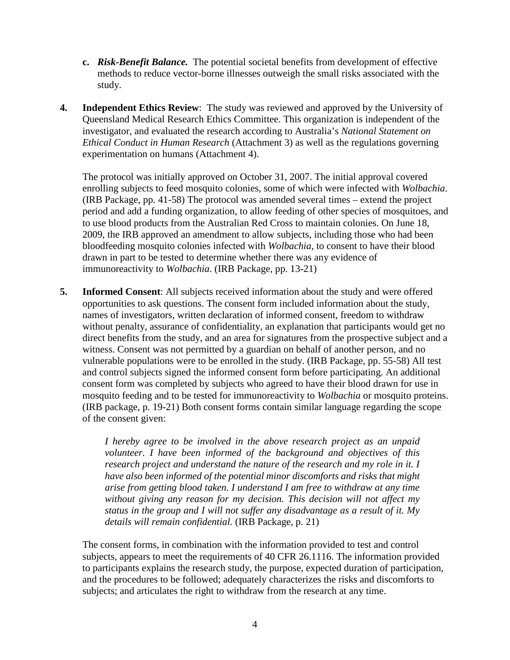- **c.** *Risk-Benefit Balance.* The potential societal benefits from development of effective methods to reduce vector-borne illnesses outweigh the small risks associated with the study.
- **4. Independent Ethics Review**: The study was reviewed and approved by the University of Queensland Medical Research Ethics Committee. This organization is independent of the investigator, and evaluated the research according to Australia's *National Statement on Ethical Conduct in Human Research* (Attachment 3) as well as the regulations governing experimentation on humans (Attachment 4).

The protocol was initially approved on October 31, 2007. The initial approval covered enrolling subjects to feed mosquito colonies, some of which were infected with *Wolbachia*. (IRB Package, pp. 41-58) The protocol was amended several times – extend the project period and add a funding organization, to allow feeding of other species of mosquitoes, and to use blood products from the Australian Red Cross to maintain colonies. On June 18, 2009, the IRB approved an amendment to allow subjects, including those who had been bloodfeeding mosquito colonies infected with *Wolbachia*, to consent to have their blood drawn in part to be tested to determine whether there was any evidence of immunoreactivity to *Wolbachia*. (IRB Package, pp. 13-21)

**5. Informed Consent**: All subjects received information about the study and were offered opportunities to ask questions. The consent form included information about the study, names of investigators, written declaration of informed consent, freedom to withdraw without penalty, assurance of confidentiality, an explanation that participants would get no direct benefits from the study, and an area for signatures from the prospective subject and a witness. Consent was not permitted by a guardian on behalf of another person, and no vulnerable populations were to be enrolled in the study. (IRB Package, pp. 55-58) All test and control subjects signed the informed consent form before participating. An additional consent form was completed by subjects who agreed to have their blood drawn for use in mosquito feeding and to be tested for immunoreactivity to *Wolbachia* or mosquito proteins. (IRB package, p. 19-21) Both consent forms contain similar language regarding the scope of the consent given:

> *I hereby agree to be involved in the above research project as an unpaid volunteer. I have been informed of the background and objectives of this research project and understand the nature of the research and my role in it. I have also been informed of the potential minor discomforts and risks that might arise from getting blood taken. I understand I am free to withdraw at any time without giving any reason for my decision. This decision will not affect my status in the group and I will not suffer any disadvantage as a result of it. My details will remain confidential.* (IRB Package, p. 21)

The consent forms, in combination with the information provided to test and control subjects, appears to meet the requirements of 40 CFR 26.1116. The information provided to participants explains the research study, the purpose, expected duration of participation, and the procedures to be followed; adequately characterizes the risks and discomforts to subjects; and articulates the right to withdraw from the research at any time.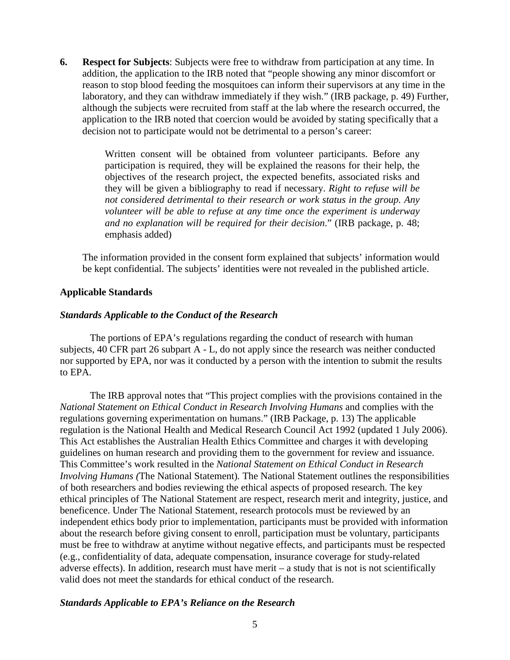**6. Respect for Subjects**: Subjects were free to withdraw from participation at any time. In addition, the application to the IRB noted that "people showing any minor discomfort or reason to stop blood feeding the mosquitoes can inform their supervisors at any time in the laboratory, and they can withdraw immediately if they wish." (IRB package, p. 49) Further, although the subjects were recruited from staff at the lab where the research occurred, the application to the IRB noted that coercion would be avoided by stating specifically that a decision not to participate would not be detrimental to a person's career:

> Written consent will be obtained from volunteer participants. Before any participation is required, they will be explained the reasons for their help, the objectives of the research project, the expected benefits, associated risks and they will be given a bibliography to read if necessary. *Right to refuse will be not considered detrimental to their research or work status in the group. Any volunteer will be able to refuse at any time once the experiment is underway and no explanation will be required for their decision*." (IRB package, p. 48; emphasis added)

The information provided in the consent form explained that subjects' information would be kept confidential. The subjects' identities were not revealed in the published article.

# **Applicable Standards**

# *Standards Applicable to the Conduct of the Research*

The portions of EPA's regulations regarding the conduct of research with human subjects, 40 CFR part 26 subpart A - L, do not apply since the research was neither conducted nor supported by EPA, nor was it conducted by a person with the intention to submit the results to EPA.

The IRB approval notes that "This project complies with the provisions contained in the *National Statement on Ethical Conduct in Research Involving Humans* and complies with the regulations governing experimentation on humans." (IRB Package, p. 13) The applicable regulation is the National Health and Medical Research Council Act 1992 (updated 1 July 2006). This Act establishes the Australian Health Ethics Committee and charges it with developing guidelines on human research and providing them to the government for review and issuance. This Committee's work resulted in the *National Statement on Ethical Conduct in Research Involving Humans (*The National Statement)*.* The National Statement outlines the responsibilities of both researchers and bodies reviewing the ethical aspects of proposed research. The key ethical principles of The National Statement are respect, research merit and integrity, justice, and beneficence. Under The National Statement, research protocols must be reviewed by an independent ethics body prior to implementation, participants must be provided with information about the research before giving consent to enroll, participation must be voluntary, participants must be free to withdraw at anytime without negative effects, and participants must be respected (e.g., confidentiality of data, adequate compensation, insurance coverage for study-related adverse effects). In addition, research must have merit – a study that is not is not scientifically valid does not meet the standards for ethical conduct of the research.

#### *Standards Applicable to EPA's Reliance on the Research*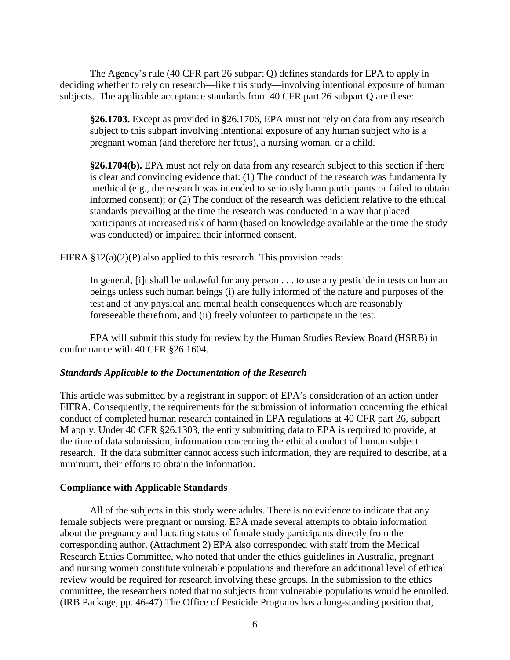The Agency's rule (40 CFR part 26 subpart Q) defines standards for EPA to apply in deciding whether to rely on research—like this study—involving intentional exposure of human subjects. The applicable acceptance standards from 40 CFR part 26 subpart Q are these:

**§26.1703.** Except as provided in **§**26.1706, EPA must not rely on data from any research subject to this subpart involving intentional exposure of any human subject who is a pregnant woman (and therefore her fetus), a nursing woman, or a child.

**§26.1704(b).** EPA must not rely on data from any research subject to this section if there is clear and convincing evidence that: (1) The conduct of the research was fundamentally unethical (e.g., the research was intended to seriously harm participants or failed to obtain informed consent); or (2) The conduct of the research was deficient relative to the ethical standards prevailing at the time the research was conducted in a way that placed participants at increased risk of harm (based on knowledge available at the time the study was conducted) or impaired their informed consent.

FIFRA  $\S 12(a)(2)(P)$  also applied to this research. This provision reads:

In general, [i]t shall be unlawful for any person . . . to use any pesticide in tests on human beings unless such human beings (i) are fully informed of the nature and purposes of the test and of any physical and mental health consequences which are reasonably foreseeable therefrom, and (ii) freely volunteer to participate in the test.

EPA will submit this study for review by the Human Studies Review Board (HSRB) in conformance with 40 CFR §26.1604.

#### *Standards Applicable to the Documentation of the Research*

This article was submitted by a registrant in support of EPA's consideration of an action under FIFRA. Consequently, the requirements for the submission of information concerning the ethical conduct of completed human research contained in EPA regulations at 40 CFR part 26, subpart M apply. Under 40 CFR §26.1303, the entity submitting data to EPA is required to provide, at the time of data submission, information concerning the ethical conduct of human subject research. If the data submitter cannot access such information, they are required to describe, at a minimum, their efforts to obtain the information.

#### **Compliance with Applicable Standards**

All of the subjects in this study were adults. There is no evidence to indicate that any female subjects were pregnant or nursing. EPA made several attempts to obtain information about the pregnancy and lactating status of female study participants directly from the corresponding author. (Attachment 2) EPA also corresponded with staff from the Medical Research Ethics Committee, who noted that under the ethics guidelines in Australia, pregnant and nursing women constitute vulnerable populations and therefore an additional level of ethical review would be required for research involving these groups. In the submission to the ethics committee, the researchers noted that no subjects from vulnerable populations would be enrolled. (IRB Package, pp. 46-47) The Office of Pesticide Programs has a long-standing position that,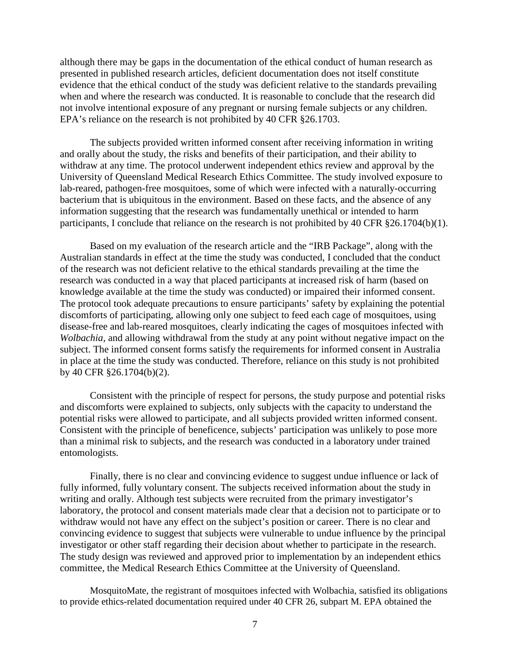although there may be gaps in the documentation of the ethical conduct of human research as presented in published research articles, deficient documentation does not itself constitute evidence that the ethical conduct of the study was deficient relative to the standards prevailing when and where the research was conducted. It is reasonable to conclude that the research did not involve intentional exposure of any pregnant or nursing female subjects or any children. EPA's reliance on the research is not prohibited by 40 CFR §26.1703.

The subjects provided written informed consent after receiving information in writing and orally about the study, the risks and benefits of their participation, and their ability to withdraw at any time. The protocol underwent independent ethics review and approval by the University of Queensland Medical Research Ethics Committee. The study involved exposure to lab-reared, pathogen-free mosquitoes, some of which were infected with a naturally-occurring bacterium that is ubiquitous in the environment. Based on these facts, and the absence of any information suggesting that the research was fundamentally unethical or intended to harm participants, I conclude that reliance on the research is not prohibited by 40 CFR §26.1704(b)(1).

Based on my evaluation of the research article and the "IRB Package", along with the Australian standards in effect at the time the study was conducted, I concluded that the conduct of the research was not deficient relative to the ethical standards prevailing at the time the research was conducted in a way that placed participants at increased risk of harm (based on knowledge available at the time the study was conducted) or impaired their informed consent. The protocol took adequate precautions to ensure participants' safety by explaining the potential discomforts of participating, allowing only one subject to feed each cage of mosquitoes, using disease-free and lab-reared mosquitoes, clearly indicating the cages of mosquitoes infected with *Wolbachia*, and allowing withdrawal from the study at any point without negative impact on the subject. The informed consent forms satisfy the requirements for informed consent in Australia in place at the time the study was conducted. Therefore, reliance on this study is not prohibited by 40 CFR §26.1704(b)(2).

Consistent with the principle of respect for persons, the study purpose and potential risks and discomforts were explained to subjects, only subjects with the capacity to understand the potential risks were allowed to participate, and all subjects provided written informed consent. Consistent with the principle of beneficence, subjects' participation was unlikely to pose more than a minimal risk to subjects, and the research was conducted in a laboratory under trained entomologists.

Finally, there is no clear and convincing evidence to suggest undue influence or lack of fully informed, fully voluntary consent. The subjects received information about the study in writing and orally. Although test subjects were recruited from the primary investigator's laboratory, the protocol and consent materials made clear that a decision not to participate or to withdraw would not have any effect on the subject's position or career. There is no clear and convincing evidence to suggest that subjects were vulnerable to undue influence by the principal investigator or other staff regarding their decision about whether to participate in the research. The study design was reviewed and approved prior to implementation by an independent ethics committee, the Medical Research Ethics Committee at the University of Queensland.

MosquitoMate, the registrant of mosquitoes infected with Wolbachia, satisfied its obligations to provide ethics-related documentation required under 40 CFR 26, subpart M. EPA obtained the